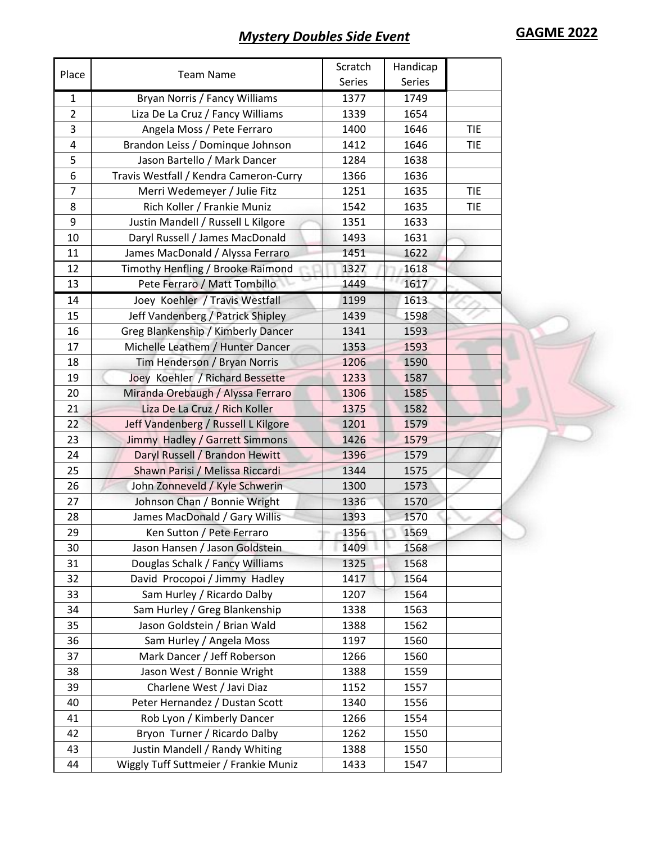## **Mystery Doubles Side Event GAGME 2022**

|                |                                        | Scratch       | Handicap |            |
|----------------|----------------------------------------|---------------|----------|------------|
| Place          | <b>Team Name</b>                       | <b>Series</b> | Series   |            |
| $\mathbf{1}$   | Bryan Norris / Fancy Williams          | 1377          | 1749     |            |
| $\overline{2}$ | Liza De La Cruz / Fancy Williams       | 1339          | 1654     |            |
| 3              | Angela Moss / Pete Ferraro             | 1400          | 1646     | <b>TIE</b> |
| 4              | Brandon Leiss / Dominque Johnson       | 1412          | 1646     | <b>TIE</b> |
| 5              | Jason Bartello / Mark Dancer           | 1284          | 1638     |            |
| 6              | Travis Westfall / Kendra Cameron-Curry | 1366          | 1636     |            |
| $\overline{7}$ | Merri Wedemeyer / Julie Fitz           | 1251          | 1635     | <b>TIE</b> |
| 8              | Rich Koller / Frankie Muniz            | 1542          | 1635     | <b>TIE</b> |
| 9              | Justin Mandell / Russell L Kilgore     | 1351          | 1633     |            |
| 10             | Daryl Russell / James MacDonald        | 1493          | 1631     |            |
| 11             | James MacDonald / Alyssa Ferraro       | 1451          | 1622     |            |
| 12             | Timothy Henfling / Brooke Raimond      | 1327          | 1618     |            |
| 13             | Pete Ferraro / Matt Tombillo           | 1449          | 1617     |            |
| 14             | Joey Koehler / Travis Westfall         | 1199          | 1613     |            |
| 15             | Jeff Vandenberg / Patrick Shipley      | 1439          | 1598     |            |
| 16             | Greg Blankenship / Kimberly Dancer     | 1341          | 1593     |            |
| 17             | Michelle Leathem / Hunter Dancer       | 1353          | 1593     |            |
| 18             | Tim Henderson / Bryan Norris           | 1206          | 1590     |            |
| 19             | Joey Koehler / Richard Bessette        | 1233          | 1587     |            |
| 20             | Miranda Orebaugh / Alyssa Ferraro      | 1306          | 1585     |            |
| 21             | Liza De La Cruz / Rich Koller          | 1375          | 1582     |            |
| 22             | Jeff Vandenberg / Russell L Kilgore    | 1201          | 1579     |            |
| 23             | Jimmy Hadley / Garrett Simmons         | 1426          | 1579     |            |
| 24             | Daryl Russell / Brandon Hewitt         | 1396          | 1579     |            |
| 25             | Shawn Parisi / Melissa Riccardi        | 1344          | 1575     |            |
| 26             | John Zonneveld / Kyle Schwerin         | 1300          | 1573     |            |
| 27             | Johnson Chan / Bonnie Wright           | 1336          | 1570     |            |
| 28             | James MacDonald / Gary Willis          | 1393          | 1570     |            |
| 29             | Ken Sutton / Pete Ferraro              | 1356          | 1569     |            |
| 30             | Jason Hansen / Jason Goldstein         | 1409          | 1568     |            |
| 31             | Douglas Schalk / Fancy Williams        | 1325          | 1568     |            |
| 32             | David Procopoi / Jimmy Hadley          | 1417          | 1564     |            |
| 33             | Sam Hurley / Ricardo Dalby             | 1207          | 1564     |            |
| 34             | Sam Hurley / Greg Blankenship          | 1338          | 1563     |            |
| 35             | Jason Goldstein / Brian Wald           | 1388          | 1562     |            |
| 36             | Sam Hurley / Angela Moss               | 1197          | 1560     |            |
| 37             | Mark Dancer / Jeff Roberson            | 1266          | 1560     |            |
| 38             | Jason West / Bonnie Wright             | 1388          | 1559     |            |
| 39             | Charlene West / Javi Diaz              | 1152          | 1557     |            |
| 40             | Peter Hernandez / Dustan Scott         | 1340          | 1556     |            |
| 41             | Rob Lyon / Kimberly Dancer             | 1266          | 1554     |            |
| 42             | Bryon Turner / Ricardo Dalby           | 1262          | 1550     |            |
| 43             | Justin Mandell / Randy Whiting         | 1388          | 1550     |            |
| 44             | Wiggly Tuff Suttmeier / Frankie Muniz  | 1433          | 1547     |            |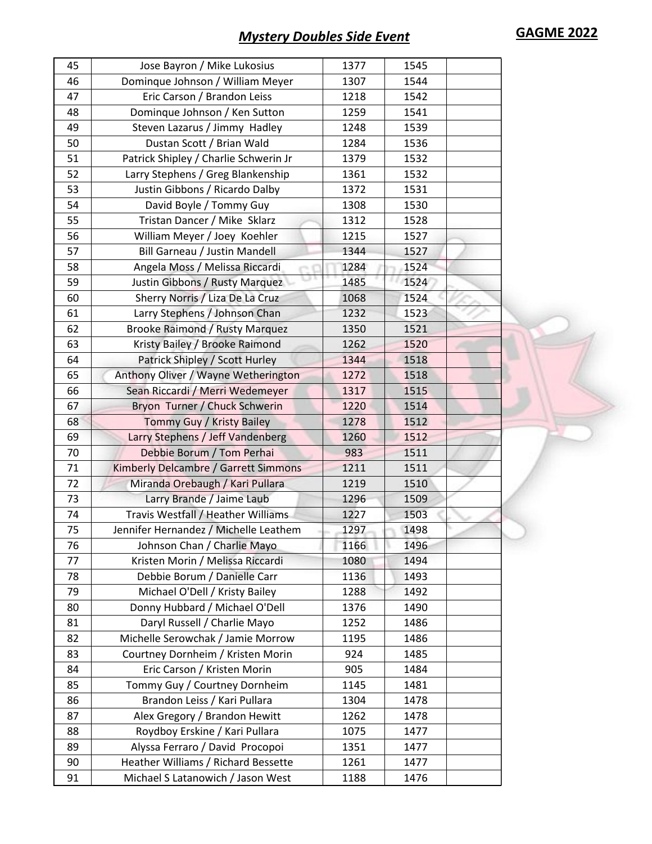| 45 | Jose Bayron / Mike Lukosius           | 1377 | 1545 |  |
|----|---------------------------------------|------|------|--|
| 46 | Dominque Johnson / William Meyer      | 1307 | 1544 |  |
| 47 | Eric Carson / Brandon Leiss           | 1218 | 1542 |  |
| 48 | Dominque Johnson / Ken Sutton         | 1259 | 1541 |  |
| 49 | Steven Lazarus / Jimmy Hadley         | 1248 | 1539 |  |
| 50 | Dustan Scott / Brian Wald             | 1284 | 1536 |  |
| 51 | Patrick Shipley / Charlie Schwerin Jr | 1379 | 1532 |  |
| 52 | Larry Stephens / Greg Blankenship     | 1361 | 1532 |  |
| 53 | Justin Gibbons / Ricardo Dalby        | 1372 | 1531 |  |
| 54 | David Boyle / Tommy Guy               | 1308 | 1530 |  |
| 55 | Tristan Dancer / Mike Sklarz          | 1312 | 1528 |  |
| 56 | William Meyer / Joey Koehler          | 1215 | 1527 |  |
| 57 | Bill Garneau / Justin Mandell         | 1344 | 1527 |  |
| 58 | Angela Moss / Melissa Riccardi        | 1284 | 1524 |  |
| 59 | Justin Gibbons / Rusty Marquez        | 1485 | 1524 |  |
| 60 | Sherry Norris / Liza De La Cruz       | 1068 | 1524 |  |
| 61 | Larry Stephens / Johnson Chan         | 1232 | 1523 |  |
| 62 | <b>Brooke Raimond / Rusty Marquez</b> | 1350 | 1521 |  |
| 63 | Kristy Bailey / Brooke Raimond        | 1262 | 1520 |  |
| 64 | Patrick Shipley / Scott Hurley        | 1344 | 1518 |  |
| 65 | Anthony Oliver / Wayne Wetherington   | 1272 | 1518 |  |
| 66 | Sean Riccardi / Merri Wedemeyer       | 1317 | 1515 |  |
| 67 | Bryon Turner / Chuck Schwerin         | 1220 | 1514 |  |
| 68 | Tommy Guy / Kristy Bailey             | 1278 | 1512 |  |
| 69 | Larry Stephens / Jeff Vandenberg      | 1260 | 1512 |  |
| 70 | Debbie Borum / Tom Perhai             | 983  | 1511 |  |
| 71 | Kimberly Delcambre / Garrett Simmons  | 1211 | 1511 |  |
| 72 | Miranda Orebaugh / Kari Pullara       | 1219 | 1510 |  |
| 73 | Larry Brande / Jaime Laub             | 1296 | 1509 |  |
| 74 | Travis Westfall / Heather Williams    | 1227 | 1503 |  |
| 75 | Jennifer Hernandez / Michelle Leathem | 1297 | 1498 |  |
| 76 | Johnson Chan / Charlie Mayo           | 1166 | 1496 |  |
| 77 | Kristen Morin / Melissa Riccardi      | 1080 | 1494 |  |
| 78 | Debbie Borum / Danielle Carr          | 1136 | 1493 |  |
| 79 | Michael O'Dell / Kristy Bailey        | 1288 | 1492 |  |
| 80 | Donny Hubbard / Michael O'Dell        | 1376 | 1490 |  |
| 81 | Daryl Russell / Charlie Mayo          | 1252 | 1486 |  |
| 82 | Michelle Serowchak / Jamie Morrow     | 1195 | 1486 |  |
| 83 | Courtney Dornheim / Kristen Morin     | 924  | 1485 |  |
| 84 | Eric Carson / Kristen Morin           | 905  | 1484 |  |
| 85 | Tommy Guy / Courtney Dornheim         | 1145 | 1481 |  |
| 86 | Brandon Leiss / Kari Pullara          | 1304 | 1478 |  |
| 87 |                                       |      |      |  |
|    | Alex Gregory / Brandon Hewitt         | 1262 | 1478 |  |
| 88 | Roydboy Erskine / Kari Pullara        | 1075 | 1477 |  |
| 89 | Alyssa Ferraro / David Procopoi       | 1351 | 1477 |  |
| 90 | Heather Williams / Richard Bessette   | 1261 | 1477 |  |